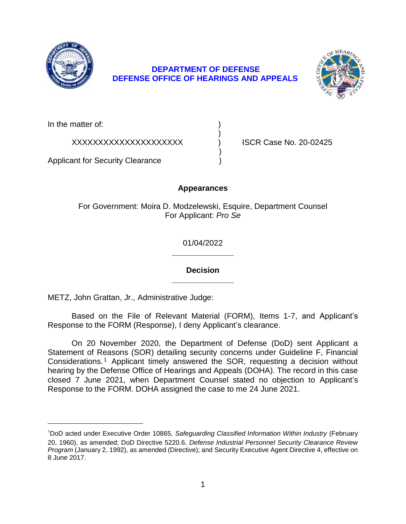

## **DEFENSE OFFICE OF HEARINGS AND APPEALS DEPARTMENT OF DEFENSE**



In the matter of:

XXXXXXXXXXXXXXXXXXXXX ) ISCR Case No. 20-02425

Applicant for Security Clearance )

# **Appearances**

)

)

For Government: Moira D. Modzelewski, Esquire, Department Counsel For Applicant: *Pro Se* 

> **\_\_\_\_\_\_\_\_\_\_\_\_\_\_**  01/04/2022

## **\_\_\_\_\_\_\_\_\_\_\_\_\_\_ Decision**

METZ, John Grattan, Jr., Administrative Judge:

 Based on the File of Relevant Material (FORM), Items 1-7, and Applicant's Response to the FORM (Response), I deny Applicant's clearance.

 On 20 November 2020, the Department of Defense (DoD) sent Applicant a Statement of Reasons (SOR) detailing security concerns under Guideline F, Financial Considerations.<sup>1</sup> Applicant timely answered the SOR, requesting a decision without hearing by the Defense Office of Hearings and Appeals (DOHA). The record in this case closed 7 June 2021, when Department Counsel stated no objection to Applicant's Response to the FORM. DOHA assigned the case to me 24 June 2021.

<sup>&</sup>lt;sup>1</sup>DoD acted under Executive Order 10865, Safeguarding Classified Information Within Industry (February 20, 1960), as amended; DoD Directive 5220.6, *Defense Industrial Personnel Security Clearance Review Program* (January 2, 1992), as amended (Directive); and Security Executive Agent Directive 4, effective on 8 June 2017.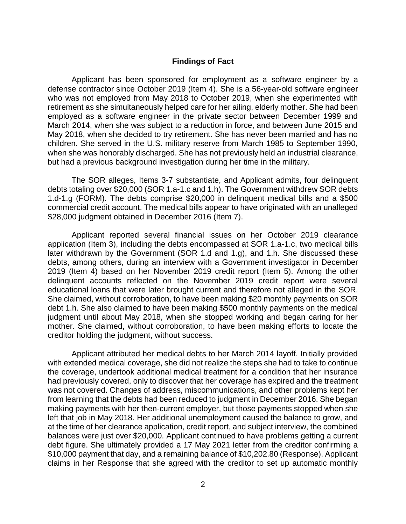### **Findings of Fact**

 Applicant has been sponsored for employment as a software engineer by a defense contractor since October 2019 (Item 4). She is a 56-year-old software engineer who was not employed from May 2018 to October 2019, when she experimented with retirement as she simultaneously helped care for her ailing, elderly mother. She had been employed as a software engineer in the private sector between December 1999 and March 2014, when she was subject to a reduction in force, and between June 2015 and May 2018, when she decided to try retirement. She has never been married and has no children. She served in the U.S. military reserve from March 1985 to September 1990, when she was honorably discharged. She has not previously held an industrial clearance, but had a previous background investigation during her time in the military.

 debts totaling over \$20,000 (SOR 1.a-1.c and 1.h). The Government withdrew SOR debts 1.d-1.g (FORM). The debts comprise \$20,000 in delinquent medical bills and a \$500 commercial credit account. The medical bills appear to have originated with an unalleged The SOR alleges, Items 3-7 substantiate, and Applicant admits, four delinquent \$28,000 judgment obtained in December 2016 (Item 7).

 Applicant reported several financial issues on her October 2019 clearance application (Item 3), including the debts encompassed at SOR 1.a-1.c, two medical bills later withdrawn by the Government (SOR 1.d and 1.g), and 1.h. She discussed these debts, among others, during an interview with a Government investigator in December 2019 (Item 4) based on her November 2019 credit report (Item 5). Among the other delinquent accounts reflected on the November 2019 credit report were several educational loans that were later brought current and therefore not alleged in the SOR. She claimed, without corroboration, to have been making \$20 monthly payments on SOR judgment until about May 2018, when she stopped working and began caring for her mother. She claimed, without corroboration, to have been making efforts to locate the debt 1.h. She also claimed to have been making \$500 monthly payments on the medical creditor holding the judgment, without success.

Applicant attributed her medical debts to her March 2014 layoff. Initially provided with extended medical coverage, she did not realize the steps she had to take to continue the coverage, undertook additional medical treatment for a condition that her insurance had previously covered, only to discover that her coverage has expired and the treatment was not covered. Changes of address, miscommunications, and other problems kept her from learning that the debts had been reduced to judgment in December 2016. She began making payments with her then-current employer, but those payments stopped when she left that job in May 2018. Her additional unemployment caused the balance to grow, and at the time of her clearance application, credit report, and subject interview, the combined balances were just over \$20,000. Applicant continued to have problems getting a current debt figure. She ultimately provided a 17 May 2021 letter from the creditor confirming a \$10,000 payment that day, and a remaining balance of \$10,202.80 (Response). Applicant claims in her Response that she agreed with the creditor to set up automatic monthly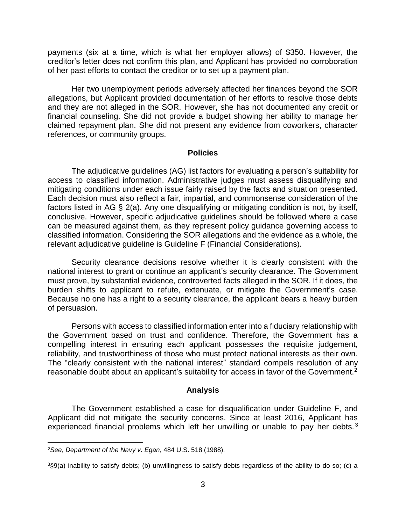payments (six at a time, which is what her employer allows) of \$350. However, the creditor's letter does not confirm this plan, and Applicant has provided no corroboration of her past efforts to contact the creditor or to set up a payment plan.

 Her two unemployment periods adversely affected her finances beyond the SOR allegations, but Applicant provided documentation of her efforts to resolve those debts and they are not alleged in the SOR. However, she has not documented any credit or financial counseling. She did not provide a budget showing her ability to manage her claimed repayment plan. She did not present any evidence from coworkers, character references, or community groups.

### **Policies**

 The adjudicative guidelines (AG) list factors for evaluating a person's suitability for access to classified information. Administrative judges must assess disqualifying and mitigating conditions under each issue fairly raised by the facts and situation presented. Each decision must also reflect a fair, impartial, and commonsense consideration of the factors listed in AG § 2(a). Any one disqualifying or mitigating condition is not, by itself, conclusive. However, specific adjudicative guidelines should be followed where a case can be measured against them, as they represent policy guidance governing access to classified information. Considering the SOR allegations and the evidence as a whole, the relevant adjudicative guideline is Guideline F (Financial Considerations).

 Security clearance decisions resolve whether it is clearly consistent with the national interest to grant or continue an applicant's security clearance. The Government must prove, by substantial evidence, controverted facts alleged in the SOR. If it does, the burden shifts to applicant to refute, extenuate, or mitigate the Government's case. Because no one has a right to a security clearance, the applicant bears a heavy burden of persuasion.

 Persons with access to classified information enter into a fiduciary relationship with the Government based on trust and confidence. Therefore, the Government has a compelling interest in ensuring each applicant possesses the requisite judgement, reliability, and trustworthiness of those who must protect national interests as their own. The "clearly consistent with the national interest" standard compels resolution of any reasonable doubt about an applicant's suitability for access in favor of the Government.<sup>2</sup>

#### **Analysis**

 The Government established a case for disqualification under Guideline F, and Applicant did not mitigate the security concerns. Since at least 2016, Applicant has experienced financial problems which left her unwilling or unable to pay her debts.<sup>3</sup>

 $\overline{a}$ 

<sup>2</sup>*See*, *Department of the Navy v. Egan*, 484 U.S. 518 (1988).

 3§9(a) inability to satisfy debts; (b) unwillingness to satisfy debts regardless of the ability to do so; (c) a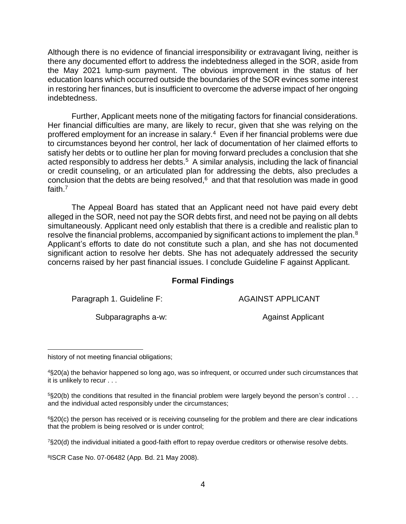Although there is no evidence of financial irresponsibility or extravagant living, neither is there any documented effort to address the indebtedness alleged in the SOR, aside from the May 2021 lump-sum payment. The obvious improvement in the status of her education loans which occurred outside the boundaries of the SOR evinces some interest in restoring her finances, but is insufficient to overcome the adverse impact of her ongoing indebtedness.

 Further, Applicant meets none of the mitigating factors for financial considerations. Her financial difficulties are many, are likely to recur, given that she was relying on the proffered employment for an increase in salary.<sup>4</sup> Even if her financial problems were due to circumstances beyond her control, her lack of documentation of her claimed efforts to satisfy her debts or to outline her plan for moving forward precludes a conclusion that she acted responsibly to address her debts. $5$  A similar analysis, including the lack of financial or credit counseling, or an articulated plan for addressing the debts, also precludes a conclusion that the debts are being resolved, $6$  and that that resolution was made in good faith.7

 The Appeal Board has stated that an Applicant need not have paid every debt alleged in the SOR, need not pay the SOR debts first, and need not be paying on all debts simultaneously. Applicant need only establish that there is a credible and realistic plan to resolve the financial problems, accompanied by significant actions to implement the plan.<sup>8</sup> Applicant's efforts to date do not constitute such a plan, and she has not documented significant action to resolve her debts. She has not adequately addressed the security concerns raised by her past financial issues. I conclude Guideline F against Applicant.

### **Formal Findings**

Paragraph 1. Guideline F: AGAINST APPLICANT

Subparagraphs a-w: Against Applicant

 $\overline{a}$ history of not meeting financial obligations;

 4§20(a) the behavior happened so long ago, was so infrequent, or occurred under such circumstances that it is unlikely to recur . . .

 $5$ §20(b) the conditions that resulted in the financial problem were largely beyond the person's control  $\dots$ and the individual acted responsibly under the circumstances;

 6§20(c) the person has received or is receiving counseling for the problem and there are clear indications that the problem is being resolved or is under control;

7§20(d) the individual initiated a good-faith effort to repay overdue creditors or otherwise resolve debts.

8ISCR Case No. 07-06482 (App. Bd. 21 May 2008).